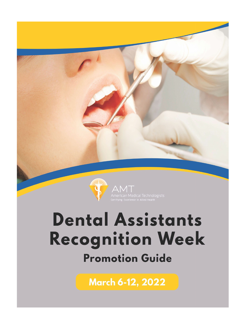

# **Dental Assistants** Recognition Week **Promotion Guide**

March 6-12, 2022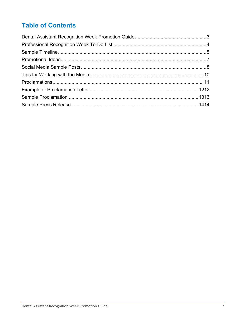# **Table of Contents**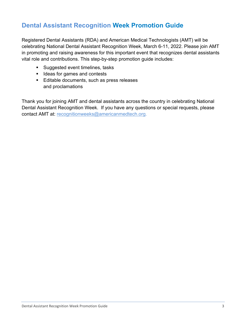# <span id="page-2-0"></span>**Dental Assistant Recognition Week Promotion Guide**

Registered Dental Assistants (RDA) and American Medical Technologists (AMT) will be celebrating National Dental Assistant Recognition Week, March 6-11, 2022. Please join AMT in promoting and raising awareness for this important event that recognizes dental assistants vital role and contributions. This step-by-step promotion guide includes:

- **Suggested event timelines, tasks**
- **If I**deas for games and contests
- Editable documents, such as press releases and proclamations

Thank you for joining AMT and dental assistants across the country in celebrating National Dental Assistant Recognition Week. If you have any questions or special requests, please contact AMT at: [recognitionweeks@americanmedtech.org.](mailto:recognitionweeks@americanmedtech.org)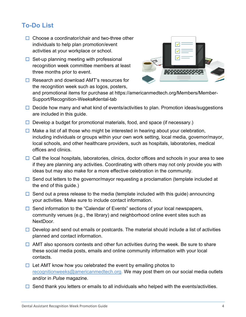# <span id="page-3-0"></span>**To-Do List**

- $\Box$  Choose a coordinator/chair and two-three other individuals to help plan promotion/event activities at your workplace or school.
- $\Box$  Set-up planning meeting with professional recognition week committee members at least three months prior to event.
- $\Box$  Research and download AMT's resources for the recognition week such as logos, posters,



and promotional items for purchase at https://americanmedtech.org/Members/Member-Support/Recognition-Weeks#dental-tab

- $\Box$  Decide how many and what kind of events/activities to plan. Promotion ideas/suggestions are included in this guide.
- $\Box$  Develop a budget for promotional materials, food, and space (if necessary.)
- $\Box$  Make a list of all those who might be interested in hearing about your celebration, including individuals or groups within your own work setting, local media, governor/mayor, local schools, and other healthcare providers, such as hospitals, laboratories, medical offices and clinics.
- $\Box$  Call the local hospitals, laboratories, clinics, doctor offices and schools in your area to see if they are planning any activities. Coordinating with others may not only provide you with ideas but may also make for a more effective celebration in the community.
- $\Box$  Send out letters to the governor/mayor requesting a proclamation (template included at the end of this guide.)
- $\Box$  Send out a press release to the media (template included with this guide) announcing your activities. Make sure to include contact information.
- $\Box$  Send information to the "Calendar of Events" sections of your local newspapers, community venues (e.g., the library) and neighborhood online event sites such as NextDoor.
- $\Box$  Develop and send out emails or postcards. The material should include a list of activities planned and contact information.
- $\Box$  AMT also sponsors contests and other fun activities during the week. Be sure to share these social media posts, emails and online community information with your local contacts.
- $\Box$  Let AMT know how you celebrated the event by emailing photos to [recognitionweeks@americanmedtech.org.](mailto:recognitionweeks@americanmedtech.org) We may post them on our social media outlets and/or in *Pulse* magazine.
- $\Box$  Send thank you letters or emails to all individuals who helped with the events/activities.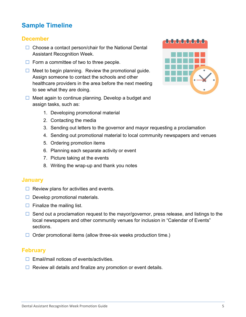# <span id="page-4-0"></span>**Sample Timeline**

#### **December**

- $\Box$  Choose a contact person/chair for the National Dental Assistant Recognition Week.
- $\Box$  Form a committee of two to three people.
- $\Box$  Meet to begin planning. Review the promotional guide. Assign someone to contact the schools and other healthcare providers in the area before the next meeting to see what they are doing.
- $\Box$  Meet again to continue planning. Develop a budget and assign tasks, such as:
- tototototototo

- 1. Developing promotional material
- 2. Contacting the media
- 3. Sending out letters to the governor and mayor requesting a proclamation
- 4. Sending out promotional material to local community newspapers and venues
- 5. Ordering promotion items
- 6. Planning each separate activity or event
- 7. Picture taking at the events
- 8. Writing the wrap-up and thank you notes

#### **January**

- $\Box$  Review plans for activities and events.
- $\Box$  Develop promotional materials.
- $\Box$  Finalize the mailing list.
- $\Box$  Send out a proclamation request to the mayor/governor, press release, and listings to the local newspapers and other community venues for inclusion in "Calendar of Events" sections.
- $\Box$  Order promotional items (allow three-six weeks production time.)

#### **February**

- $\Box$  Email/mail notices of events/activities.
- $\Box$  Review all details and finalize any promotion or event details.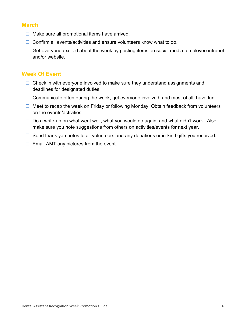#### **March**

- $\Box$  Make sure all promotional items have arrived.
- $\Box$  Confirm all events/activities and ensure volunteers know what to do.
- $\Box$  Get everyone excited about the week by posting items on social media, employee intranet and/or website.

#### **Week Of Event**

- $\Box$  Check in with everyone involved to make sure they understand assignments and deadlines for designated duties.
- $\Box$  Communicate often during the week, get everyone involved, and most of all, have fun.
- $\Box$  Meet to recap the week on Friday or following Monday. Obtain feedback from volunteers on the events/activities.
- $\Box$  Do a write-up on what went well, what you would do again, and what didn't work. Also, make sure you note suggestions from others on activities/events for next year.
- $\Box$  Send thank you notes to all volunteers and any donations or in-kind gifts you received.
- <span id="page-5-0"></span> $\Box$  Email AMT any pictures from the event.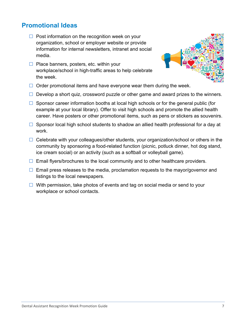## **Promotional Ideas**

- $\Box$  Post information on the recognition week on your organization, school or employer website or provide information for internal newsletters, intranet and social media.
- $\Box$  Place banners, posters, etc. within your workplace/school in high-traffic areas to help celebrate the week.



- $\Box$  Order promotional items and have everyone wear them during the week.
- $\Box$  Develop a short quiz, crossword puzzle or other game and award prizes to the winners.
- $\Box$  Sponsor career information booths at local high schools or for the general public (for example at your local library). Offer to visit high schools and promote the allied health career. Have posters or other promotional items, such as pens or stickers as souvenirs.
- $\Box$  Sponsor local high school students to shadow an allied health professional for a day at work.
- $\Box$  Celebrate with your colleagues/other students, your organization/school or others in the community by sponsoring a food-related function (picnic, potluck dinner, hot dog stand, ice cream social) or an activity (such as a softball or volleyball game).
- $\Box$  Email flyers/brochures to the local community and to other healthcare providers.
- $\Box$  Email press releases to the media, proclamation requests to the mayor/governor and listings to the local newspapers.
- <span id="page-6-0"></span> $\Box$  With permission, take photos of events and tag on social media or send to your workplace or school contacts.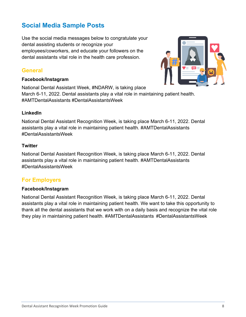# **Social Media Sample Posts**

Use the social media messages below to congratulate your dental assisting students or recognize your employees/coworkers, and educate your followers on the dental assistants vital role in the health care profession.

#### **General**

#### **Facebook/Instagram**

National Dental Assistant Week, #NDARW, is taking place March 6-11, 2022. Dental assistants play a vital role in maintaining patient health. #AMTDentalAssistants #DentalAssistantsWeek

#### **LinkedIn**

National Dental Assistant Recognition Week, is taking place March 6-11, 2022. Dental assistants play a vital role in maintaining patient health. #AMTDentalAssistants #DentalAssistantsWeek

#### **Twitter**

National Dental Assistant Recognition Week, is taking place March 6-11, 2022. Dental assistants play a vital role in maintaining patient health. #AMTDentalAssistants #DentalAssistantsWeek

#### **For Employers**

#### **Facebook/Instagram**

National Dental Assistant Recognition Week, is taking place March 6-11, 2022. Dental assistants play a vital role in maintaining patient health. We want to take this opportunity to thank all the dental assistants that we work with on a daily basis and recognize the vital role they play in maintaining patient health. #AMTDentalAssistants #DentalAssistantsWeek

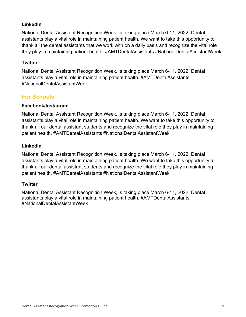#### **LinkedIn**

National Dental Assistant Recognition Week, is taking place March 6-11, 2022. Dental assistants play a vital role in maintaining patient health. We want to take this opportunity to thank all the dental assistants that we work with on a daily basis and recognize the vital role they play in maintaining patient health. #AMTDentalAssistants #NationalDentalAssistantWeek

#### **Twitter**

National Dental Assistant Recognition Week, is taking place March 6-11, 2022. Dental assistants play a vital role in maintaining patient health. #AMTDentalAssistants #NationalDentalAssistantWeek

### **For Schools**

#### **Facebook/Instagram**

National Dental Assistant Recognition Week, is taking place March 6-11, 2022. Dental assistants play a vital role in maintaining patient health. We want to take this opportunity to thank all our dental assistant students and recognize the vital role they play in maintaining patient health. #AMTDentalAssistants #NationalDentalAssistantWeek

#### **LinkedIn**

National Dental Assistant Recognition Week, is taking place March 6-11, 2022. Dental assistants play a vital role in maintaining patient health. We want to take this opportunity to thank all our dental assistant students and recognize the vital role they play in maintaining patient health. #AMTDentalAssistants #NationalDentalAssistantWeek

#### **Twitter**

<span id="page-8-0"></span>National Dental Assistant Recognition Week, is taking place March 6-11, 2022. Dental assistants play a vital role in maintaining patient health. #AMTDentalAssistants #NationalDentalAssistantWeek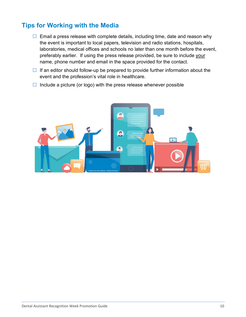# **Tips for Working with the Media**

- $\Box$  Email a press release with complete details, including time, date and reason why the event is important to local papers, television and radio stations, hospitals, laboratories, medical offices and schools no later than one month before the event, preferably earlier. If using the press release provided, be sure to include your name, phone number and email in the space provided for the contact.
- $\Box$  If an editor should follow-up be prepared to provide further information about the event and the profession's vital role in healthcare.
- <span id="page-9-0"></span> $\Box$  Include a picture (or logo) with the press release whenever possible

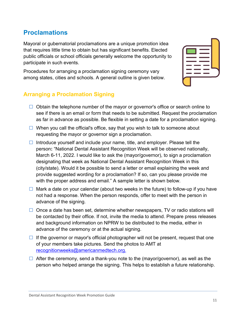#### Dental Assistant Recognition Week Promotion Guide

## **Proclamations**

Mayoral or gubernatorial proclamations are a unique promotion idea that requires little time to obtain but has significant benefits. Elected public officials or school officials generally welcome the opportunity to participate in such events.

Procedures for arranging a proclamation signing ceremony vary among states, cities and schools. A general outline is given below.

#### **Arranging a Proclamation Signing**

- $\Box$  Obtain the telephone number of the mayor or governor's office or search online to see if there is an email or form that needs to be submitted. Request the proclamation as far in advance as possible. Be flexible in setting a date for a proclamation signing.
- $\Box$  When you call the official's office, say that you wish to talk to someone about requesting the mayor or governor sign a proclamation.
- Introduce yourself and include your name, title, and employer. Please tell the person**:** "National Dental Assistant Recognition Week will be observed nationally, March 6-11, 2022. I would like to ask the (mayor/governor), to sign a proclamation designating that week as National Dental Assistant Recognition Week in this (city/state). Would it be possible to send a letter or email explaining the week and provide suggested wording for a proclamation? If so, can you please provide me with the proper address and email." A sample letter is shown below.
- $\Box$  Mark a date on your calendar (about two weeks in the future) to follow-up if you have not had a response. When the person responds, offer to meet with the person in advance of the signing.
- $\Box$  Once a date has been set, determine whether newspapers, TV or radio stations will be contacted by their office. If not, invite the media to attend. Prepare press releases and background information on NPRW to be distributed to the media, either in advance of the ceremony or at the actual signing.
- $\Box$  If the governor or mayor's official photographer will not be present, request that one of your members take pictures. Send the photos to AMT at [recognitionweeks@americanmedtech.org.](mailto:recognitionweeks@americanmedtech.org)
- $\Box$  After the ceremony, send a thank-you note to the (mayor/governor), as well as the person who helped arrange the signing. This helps to establish a future relationship.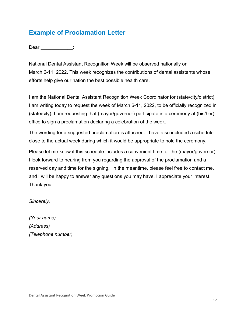# <span id="page-11-0"></span>**Example of Proclamation Letter**

Dear \_\_\_\_\_\_\_\_\_\_\_:

National Dental Assistant Recognition Week will be observed nationally on March 6-11, 2022. This week recognizes the contributions of dental assistants whose efforts help give our nation the best possible health care.

I am the National Dental Assistant Recognition Week Coordinator for (state/city/district). I am writing today to request the week of March 6-11, 2022, to be officially recognized in (state/city). I am requesting that (mayor/governor) participate in a ceremony at (his/her) office to sign a proclamation declaring a celebration of the week.

The wording for a suggested proclamation is attached. I have also included a schedule close to the actual week during which it would be appropriate to hold the ceremony.

Please let me know if this schedule includes a convenient time for the (mayor/governor). I look forward to hearing from you regarding the approval of the proclamation and a reserved day and time for the signing. In the meantime, please feel free to contact me, and I will be happy to answer any questions you may have. I appreciate your interest. Thank you.

*Sincerely,*

*(Your name) (Address) (Telephone number)*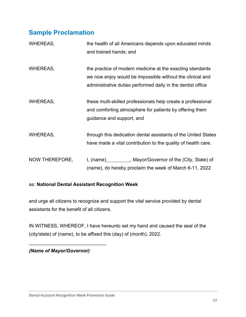# <span id="page-12-0"></span>**Sample Proclamation**

| <b>WHEREAS,</b> | the health of all Americans depends upon educated minds<br>and trained hands; and                                                                                                     |
|-----------------|---------------------------------------------------------------------------------------------------------------------------------------------------------------------------------------|
| <b>WHEREAS,</b> | the practice of modern medicine at the exacting standards<br>we now enjoy would be impossible without the clinical and<br>administrative duties performed daily in the dentist office |
| <b>WHEREAS,</b> | these multi-skilled professionals help create a professional<br>and comforting atmosphere for patients by offering them<br>guidance and support, and                                  |
| <b>WHEREAS,</b> | through this dedication dental assistants of the United States<br>have made a vital contribution to the quality of health care.                                                       |
| NOW THEREFORE,  | I, (name) __________, Mayor/Governor of the (City, State) of<br>(name), do hereby proclaim the week of March 6-11, 2022                                                               |

#### as: **National Dental Assistant Recognition Week**

and urge all citizens to recognize and support the vital service provided by dental assistants for the benefit of all citizens.

IN WITNESS, WHEREOF, I have hereunto set my hand and caused the seal of the (city/state) of (name), to be affixed this (day) of (month), 2022.

*(Name of Mayor/Governor)*

\_\_\_\_\_\_\_\_\_\_\_\_\_\_\_\_\_\_\_\_\_\_\_\_\_\_\_\_\_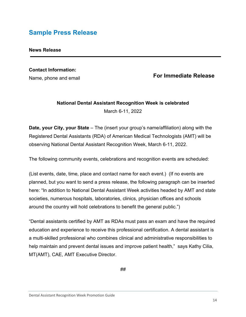# <span id="page-13-0"></span>**Sample Press Release**

#### **News Release**

# **Contact Information:**

Name, phone and email

#### **For Immediate Release**

#### **National Dental Assistant Recognition Week is celebrated** March 6-11, 2022

**Date, your City, your State** – The (insert your group's name/affiliation) along with the Registered Dental Assistants (RDA) of American Medical Technologists (AMT) will be observing National Dental Assistant Recognition Week, March 6-11, 2022.

The following community events, celebrations and recognition events are scheduled:

(List events, date, time, place and contact name for each event.) (If no events are planned, but you want to send a press release, the following paragraph can be inserted here: "In addition to National Dental Assistant Week activities headed by AMT and state societies, numerous hospitals, laboratories, clinics, physician offices and schools around the country will hold celebrations to benefit the general public.")

"Dental assistants certified by AMT as RDAs must pass an exam and have the required education and experience to receive this professional certification. A dental assistant is a multi-skilled professional who combines clinical and administrative responsibilities to help maintain and prevent dental issues and improve patient health," says Kathy Cilia, MT(AMT), CAE, AMT Executive Director.

*##*